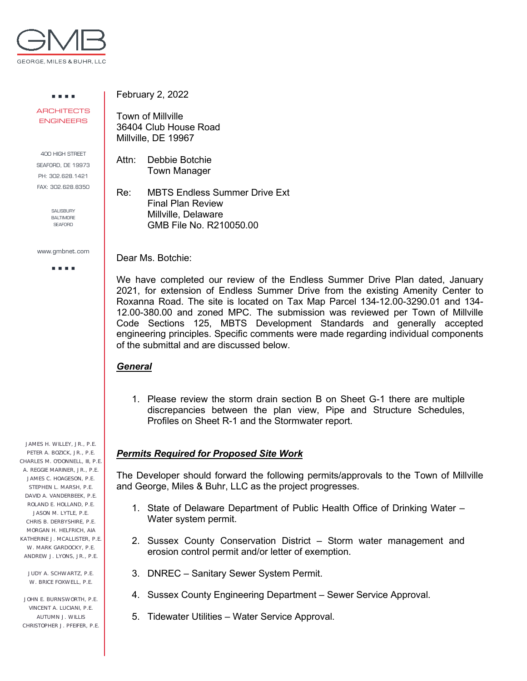

. . . . **ARCHITECTS** ENGINEERS

400 HIGH STREET SEAFORD, DE 19973 PH: 302.628.1421 FAX: 302.628.8350

> SALISBURY BALTIMORE **SEAFORD**

www.gmbnet.com

a a sua

JAMES H. WILLEY, JR., P.E. PETER A. BOZICK, JR., P.E. CHARLES M. O'DONNELL, III, P.E. A. REGGIE MARINER, JR., P.E. JAMES C. HOAGESON, P.E. STEPHEN L. MARSH, P.E. DAVID A. VANDERBEEK, P.E. ROLAND E. HOLLAND, P.E. JASON M. LYTLE, P.E. CHRIS B. DERBYSHIRE, P.E. MORGAN H. HELFRICH, AIA KATHERINE J. MCALLISTER, P.F. W. MARK GARDOCKY, P.E. ANDREW J. LYONS, JR., P.E.

JUDY A. SCHWARTZ, P.E. W. BRICE FOXWELL, P.E.

JOHN E. BURNSWORTH, P.E. VINCENT A. LUCIANI, P.E. AUTUMN J. WILLIS CHRISTOPHER J. PFEIFER, P.E. February 2, 2022

Town of Millville 36404 Club House Road Millville, DE 19967

Attn: Debbie Botchie Town Manager

Re: MBTS Endless Summer Drive Ext Final Plan Review Millville, Delaware GMB File No. R210050.00

Dear Ms. Botchie:

We have completed our review of the Endless Summer Drive Plan dated, January 2021, for extension of Endless Summer Drive from the existing Amenity Center to Roxanna Road. The site is located on Tax Map Parcel 134-12.00-3290.01 and 134- 12.00-380.00 and zoned MPC. The submission was reviewed per Town of Millville Code Sections 125, MBTS Development Standards and generally accepted engineering principles. Specific comments were made regarding individual components of the submittal and are discussed below.

## *General*

1. Please review the storm drain section B on Sheet G-1 there are multiple discrepancies between the plan view, Pipe and Structure Schedules, Profiles on Sheet R-1 and the Stormwater report.

## *Permits Required for Proposed Site Work*

The Developer should forward the following permits/approvals to the Town of Millville and George, Miles & Buhr, LLC as the project progresses.

- 1. State of Delaware Department of Public Health Office of Drinking Water Water system permit.
- 2. Sussex County Conservation District Storm water management and erosion control permit and/or letter of exemption.
- 3. DNREC Sanitary Sewer System Permit.
- 4. Sussex County Engineering Department Sewer Service Approval.
- 5. Tidewater Utilities Water Service Approval.